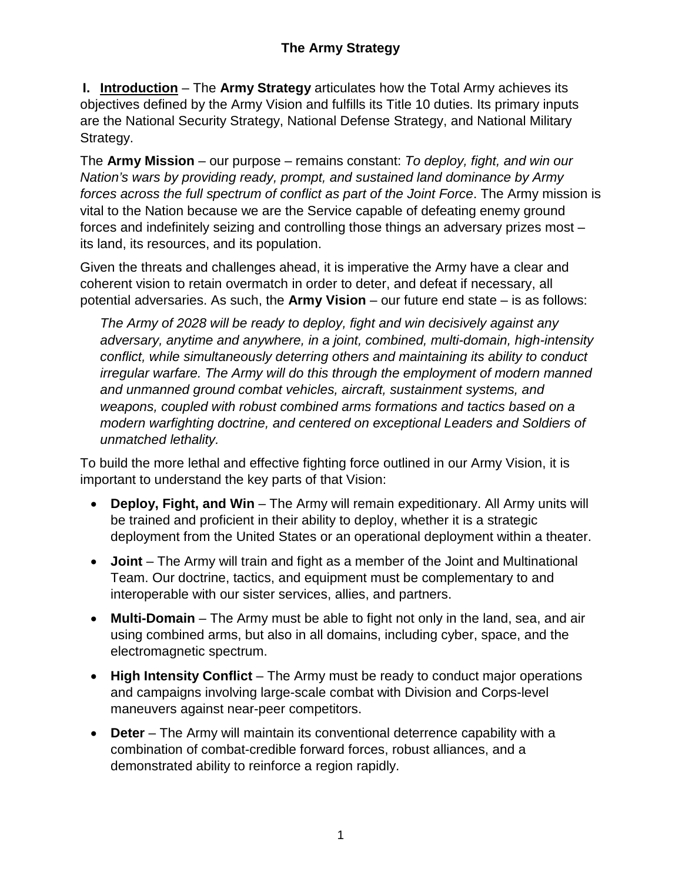**I. Introduction** – The **Army Strategy** articulates how the Total Army achieves its objectives defined by the Army Vision and fulfills its Title 10 duties. Its primary inputs are the National Security Strategy, National Defense Strategy, and National Military Strategy.

The **Army Mission** – our purpose – remains constant: *To deploy, fight, and win our Nation's wars by providing ready, prompt, and sustained land dominance by Army forces across the full spectrum of conflict as part of the Joint Force*. The Army mission is vital to the Nation because we are the Service capable of defeating enemy ground forces and indefinitely seizing and controlling those things an adversary prizes most – its land, its resources, and its population.

Given the threats and challenges ahead, it is imperative the Army have a clear and coherent vision to retain overmatch in order to deter, and defeat if necessary, all potential adversaries. As such, the **Army Vision** – our future end state – is as follows:

*The Army of 2028 will be ready to deploy, fight and win decisively against any adversary, anytime and anywhere, in a joint, combined, multi-domain, high-intensity conflict, while simultaneously deterring others and maintaining its ability to conduct irregular warfare. The Army will do this through the employment of modern manned and unmanned ground combat vehicles, aircraft, sustainment systems, and weapons, coupled with robust combined arms formations and tactics based on a modern warfighting doctrine, and centered on exceptional Leaders and Soldiers of unmatched lethality.*

To build the more lethal and effective fighting force outlined in our Army Vision, it is important to understand the key parts of that Vision:

- **Deploy, Fight, and Win**  The Army will remain expeditionary. All Army units will be trained and proficient in their ability to deploy, whether it is a strategic deployment from the United States or an operational deployment within a theater.
- **Joint** The Army will train and fight as a member of the Joint and Multinational Team. Our doctrine, tactics, and equipment must be complementary to and interoperable with our sister services, allies, and partners.
- **Multi-Domain** The Army must be able to fight not only in the land, sea, and air using combined arms, but also in all domains, including cyber, space, and the electromagnetic spectrum.
- High Intensity Conflict The Army must be ready to conduct major operations and campaigns involving large-scale combat with Division and Corps-level maneuvers against near-peer competitors.
- **Deter** The Army will maintain its conventional deterrence capability with a combination of combat-credible forward forces, robust alliances, and a demonstrated ability to reinforce a region rapidly.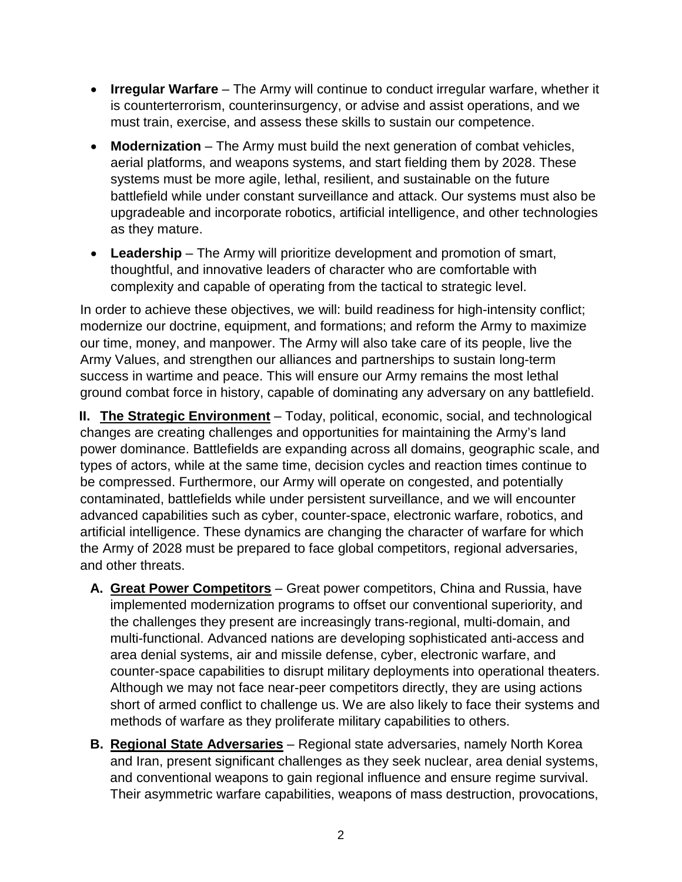- **Irregular Warfare**  The Army will continue to conduct irregular warfare, whether it is counterterrorism, counterinsurgency, or advise and assist operations, and we must train, exercise, and assess these skills to sustain our competence.
- **Modernization** The Army must build the next generation of combat vehicles, aerial platforms, and weapons systems, and start fielding them by 2028. These systems must be more agile, lethal, resilient, and sustainable on the future battlefield while under constant surveillance and attack. Our systems must also be upgradeable and incorporate robotics, artificial intelligence, and other technologies as they mature.
- **Leadership** The Army will prioritize development and promotion of smart, thoughtful, and innovative leaders of character who are comfortable with complexity and capable of operating from the tactical to strategic level.

In order to achieve these objectives, we will: build readiness for high-intensity conflict; modernize our doctrine, equipment, and formations; and reform the Army to maximize our time, money, and manpower. The Army will also take care of its people, live the Army Values, and strengthen our alliances and partnerships to sustain long-term success in wartime and peace. This will ensure our Army remains the most lethal ground combat force in history, capable of dominating any adversary on any battlefield.

**II. The Strategic Environment** – Today, political, economic, social, and technological changes are creating challenges and opportunities for maintaining the Army's land power dominance. Battlefields are expanding across all domains, geographic scale, and types of actors, while at the same time, decision cycles and reaction times continue to be compressed. Furthermore, our Army will operate on congested, and potentially contaminated, battlefields while under persistent surveillance, and we will encounter advanced capabilities such as cyber, counter-space, electronic warfare, robotics, and artificial intelligence. These dynamics are changing the character of warfare for which the Army of 2028 must be prepared to face global competitors, regional adversaries, and other threats.

- **A. Great Power Competitors** Great power competitors, China and Russia, have implemented modernization programs to offset our conventional superiority, and the challenges they present are increasingly trans-regional, multi-domain, and multi-functional. Advanced nations are developing sophisticated anti-access and area denial systems, air and missile defense, cyber, electronic warfare, and counter-space capabilities to disrupt military deployments into operational theaters. Although we may not face near-peer competitors directly, they are using actions short of armed conflict to challenge us. We are also likely to face their systems and methods of warfare as they proliferate military capabilities to others.
- **B. Regional State Adversaries** Regional state adversaries, namely North Korea and Iran, present significant challenges as they seek nuclear, area denial systems, and conventional weapons to gain regional influence and ensure regime survival. Their asymmetric warfare capabilities, weapons of mass destruction, provocations,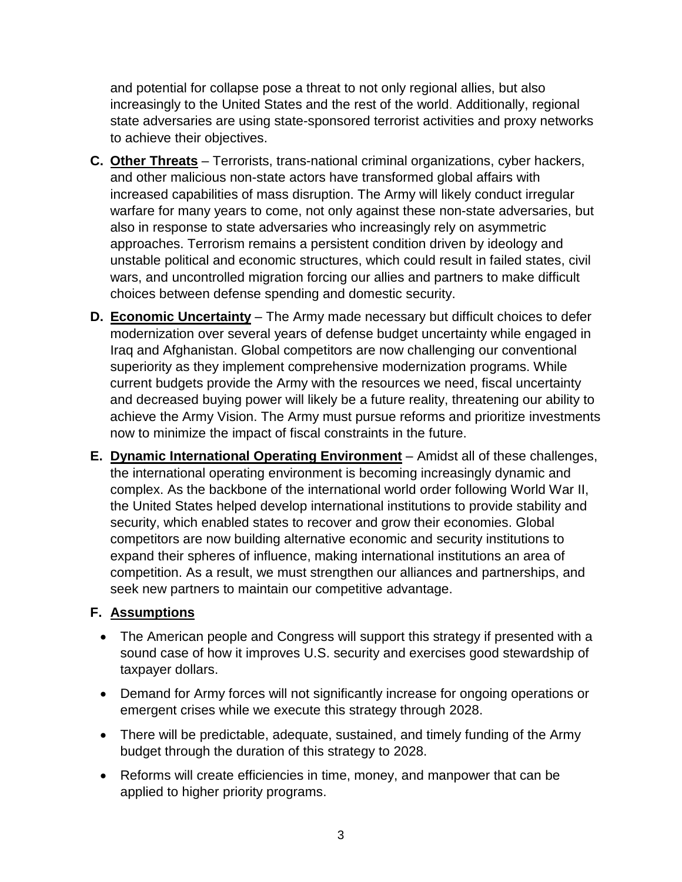and potential for collapse pose a threat to not only regional allies, but also increasingly to the United States and the rest of the world. Additionally, regional state adversaries are using state-sponsored terrorist activities and proxy networks to achieve their objectives.

- **C. Other Threats** Terrorists, trans-national criminal organizations, cyber hackers, and other malicious non-state actors have transformed global affairs with increased capabilities of mass disruption. The Army will likely conduct irregular warfare for many years to come, not only against these non-state adversaries, but also in response to state adversaries who increasingly rely on asymmetric approaches. Terrorism remains a persistent condition driven by ideology and unstable political and economic structures, which could result in failed states, civil wars, and uncontrolled migration forcing our allies and partners to make difficult choices between defense spending and domestic security.
- **D. Economic Uncertainty** The Army made necessary but difficult choices to defer modernization over several years of defense budget uncertainty while engaged in Iraq and Afghanistan. Global competitors are now challenging our conventional superiority as they implement comprehensive modernization programs. While current budgets provide the Army with the resources we need, fiscal uncertainty and decreased buying power will likely be a future reality, threatening our ability to achieve the Army Vision. The Army must pursue reforms and prioritize investments now to minimize the impact of fiscal constraints in the future.
- **E. Dynamic International Operating Environment** Amidst all of these challenges, the international operating environment is becoming increasingly dynamic and complex. As the backbone of the international world order following World War II, the United States helped develop international institutions to provide stability and security, which enabled states to recover and grow their economies. Global competitors are now building alternative economic and security institutions to expand their spheres of influence, making international institutions an area of competition. As a result, we must strengthen our alliances and partnerships, and seek new partners to maintain our competitive advantage.

## **F. Assumptions**

- The American people and Congress will support this strategy if presented with a sound case of how it improves U.S. security and exercises good stewardship of taxpayer dollars.
- Demand for Army forces will not significantly increase for ongoing operations or emergent crises while we execute this strategy through 2028.
- There will be predictable, adequate, sustained, and timely funding of the Army budget through the duration of this strategy to 2028.
- Reforms will create efficiencies in time, money, and manpower that can be applied to higher priority programs.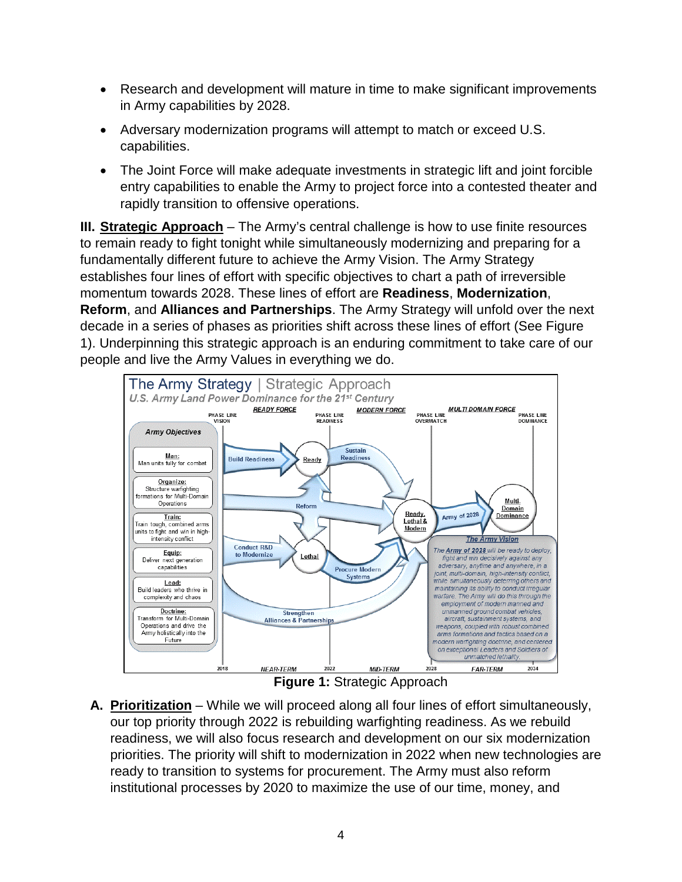- Research and development will mature in time to make significant improvements in Army capabilities by 2028.
- Adversary modernization programs will attempt to match or exceed U.S. capabilities.
- The Joint Force will make adequate investments in strategic lift and joint forcible entry capabilities to enable the Army to project force into a contested theater and rapidly transition to offensive operations.

**III. Strategic Approach** – The Army's central challenge is how to use finite resources to remain ready to fight tonight while simultaneously modernizing and preparing for a fundamentally different future to achieve the Army Vision. The Army Strategy establishes four lines of effort with specific objectives to chart a path of irreversible momentum towards 2028. These lines of effort are **Readiness**, **Modernization**, **Reform**, and **Alliances and Partnerships**. The Army Strategy will unfold over the next decade in a series of phases as priorities shift across these lines of effort (See Figure 1). Underpinning this strategic approach is an enduring commitment to take care of our people and live the Army Values in everything we do.



**Figure 1:** Strategic Approach

**A. Prioritization** – While we will proceed along all four lines of effort simultaneously, our top priority through 2022 is rebuilding warfighting readiness. As we rebuild readiness, we will also focus research and development on our six modernization priorities. The priority will shift to modernization in 2022 when new technologies are ready to transition to systems for procurement. The Army must also reform institutional processes by 2020 to maximize the use of our time, money, and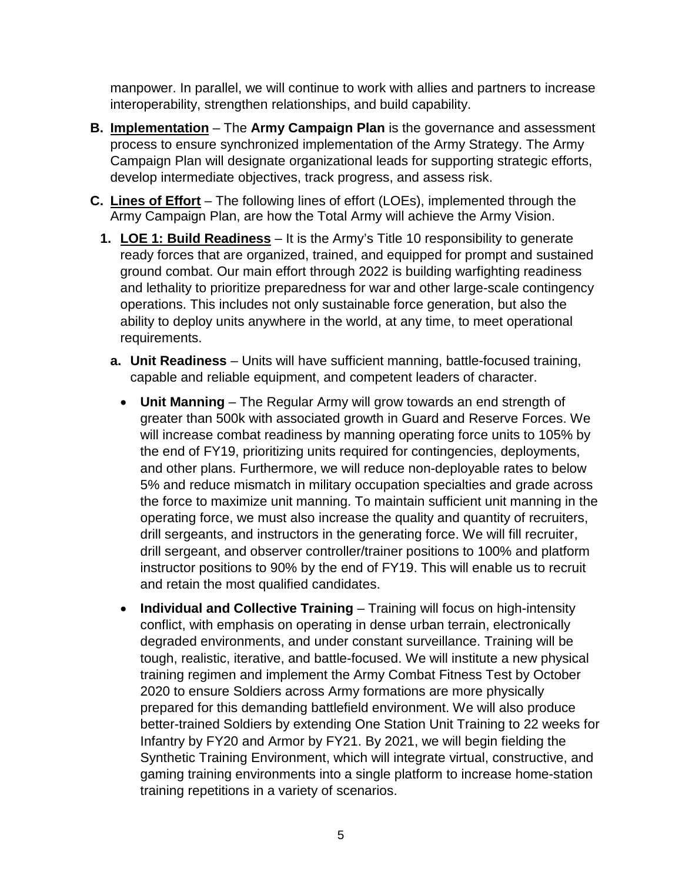manpower. In parallel, we will continue to work with allies and partners to increase interoperability, strengthen relationships, and build capability.

- **B. Implementation** The **Army Campaign Plan** is the governance and assessment process to ensure synchronized implementation of the Army Strategy. The Army Campaign Plan will designate organizational leads for supporting strategic efforts, develop intermediate objectives, track progress, and assess risk.
- **C. Lines of Effort** The following lines of effort (LOEs), implemented through the Army Campaign Plan, are how the Total Army will achieve the Army Vision.
	- **1. LOE 1: Build Readiness** It is the Army's Title 10 responsibility to generate ready forces that are organized, trained, and equipped for prompt and sustained ground combat. Our main effort through 2022 is building warfighting readiness and lethality to prioritize preparedness for war and other large-scale contingency operations. This includes not only sustainable force generation, but also the ability to deploy units anywhere in the world, at any time, to meet operational requirements.
		- **a. Unit Readiness** Units will have sufficient manning, battle-focused training, capable and reliable equipment, and competent leaders of character.
			- **Unit Manning**  The Regular Army will grow towards an end strength of greater than 500k with associated growth in Guard and Reserve Forces. We will increase combat readiness by manning operating force units to 105% by the end of FY19, prioritizing units required for contingencies, deployments, and other plans. Furthermore, we will reduce non-deployable rates to below 5% and reduce mismatch in military occupation specialties and grade across the force to maximize unit manning. To maintain sufficient unit manning in the operating force, we must also increase the quality and quantity of recruiters, drill sergeants, and instructors in the generating force. We will fill recruiter, drill sergeant, and observer controller/trainer positions to 100% and platform instructor positions to 90% by the end of FY19. This will enable us to recruit and retain the most qualified candidates.
			- **Individual and Collective Training**  Training will focus on high-intensity conflict, with emphasis on operating in dense urban terrain, electronically degraded environments, and under constant surveillance. Training will be tough, realistic, iterative, and battle-focused. We will institute a new physical training regimen and implement the Army Combat Fitness Test by October 2020 to ensure Soldiers across Army formations are more physically prepared for this demanding battlefield environment. We will also produce better-trained Soldiers by extending One Station Unit Training to 22 weeks for Infantry by FY20 and Armor by FY21. By 2021, we will begin fielding the Synthetic Training Environment, which will integrate virtual, constructive, and gaming training environments into a single platform to increase home-station training repetitions in a variety of scenarios.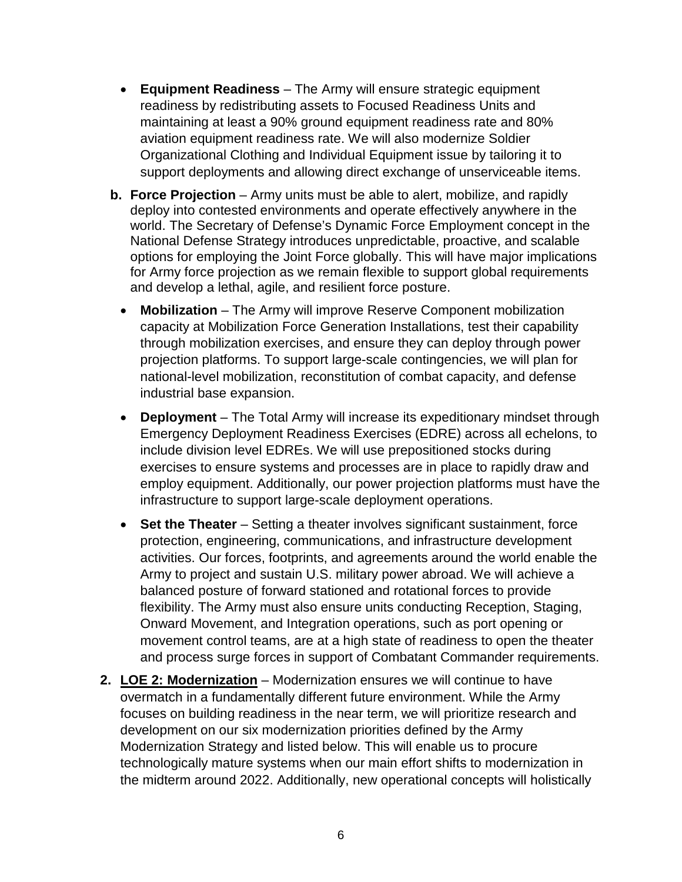- **Equipment Readiness** The Army will ensure strategic equipment readiness by redistributing assets to Focused Readiness Units and maintaining at least a 90% ground equipment readiness rate and 80% aviation equipment readiness rate. We will also modernize Soldier Organizational Clothing and Individual Equipment issue by tailoring it to support deployments and allowing direct exchange of unserviceable items.
- **b. Force Projection** Army units must be able to alert, mobilize, and rapidly deploy into contested environments and operate effectively anywhere in the world. The Secretary of Defense's Dynamic Force Employment concept in the National Defense Strategy introduces unpredictable, proactive, and scalable options for employing the Joint Force globally. This will have major implications for Army force projection as we remain flexible to support global requirements and develop a lethal, agile, and resilient force posture.
	- **Mobilization** The Army will improve Reserve Component mobilization capacity at Mobilization Force Generation Installations, test their capability through mobilization exercises, and ensure they can deploy through power projection platforms. To support large-scale contingencies, we will plan for national-level mobilization, reconstitution of combat capacity, and defense industrial base expansion.
	- **Deployment** The Total Army will increase its expeditionary mindset through Emergency Deployment Readiness Exercises (EDRE) across all echelons, to include division level EDREs. We will use prepositioned stocks during exercises to ensure systems and processes are in place to rapidly draw and employ equipment. Additionally, our power projection platforms must have the infrastructure to support large-scale deployment operations.
	- **Set the Theater** Setting a theater involves significant sustainment, force protection, engineering, communications, and infrastructure development activities. Our forces, footprints, and agreements around the world enable the Army to project and sustain U.S. military power abroad. We will achieve a balanced posture of forward stationed and rotational forces to provide flexibility. The Army must also ensure units conducting Reception, Staging, Onward Movement, and Integration operations, such as port opening or movement control teams, are at a high state of readiness to open the theater and process surge forces in support of Combatant Commander requirements.
- **2. LOE 2: Modernization** Modernization ensures we will continue to have overmatch in a fundamentally different future environment. While the Army focuses on building readiness in the near term, we will prioritize research and development on our six modernization priorities defined by the Army Modernization Strategy and listed below. This will enable us to procure technologically mature systems when our main effort shifts to modernization in the midterm around 2022. Additionally, new operational concepts will holistically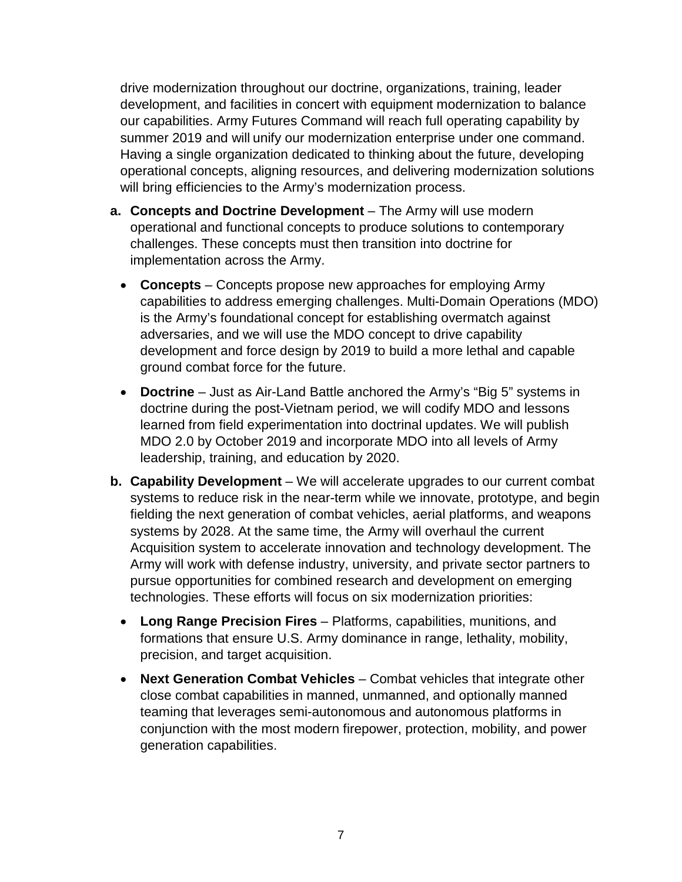drive modernization throughout our doctrine, organizations, training, leader development, and facilities in concert with equipment modernization to balance our capabilities. Army Futures Command will reach full operating capability by summer 2019 and will unify our modernization enterprise under one command. Having a single organization dedicated to thinking about the future, developing operational concepts, aligning resources, and delivering modernization solutions will bring efficiencies to the Army's modernization process.

- **a. Concepts and Doctrine Development** The Army will use modern operational and functional concepts to produce solutions to contemporary challenges. These concepts must then transition into doctrine for implementation across the Army.
	- **Concepts** Concepts propose new approaches for employing Army capabilities to address emerging challenges. Multi-Domain Operations (MDO) is the Army's foundational concept for establishing overmatch against adversaries, and we will use the MDO concept to drive capability development and force design by 2019 to build a more lethal and capable ground combat force for the future.
	- **Doctrine** Just as Air-Land Battle anchored the Army's "Big 5" systems in doctrine during the post-Vietnam period, we will codify MDO and lessons learned from field experimentation into doctrinal updates. We will publish MDO 2.0 by October 2019 and incorporate MDO into all levels of Army leadership, training, and education by 2020.
- **b. Capability Development** We will accelerate upgrades to our current combat systems to reduce risk in the near-term while we innovate, prototype, and begin fielding the next generation of combat vehicles, aerial platforms, and weapons systems by 2028. At the same time, the Army will overhaul the current Acquisition system to accelerate innovation and technology development. The Army will work with defense industry, university, and private sector partners to pursue opportunities for combined research and development on emerging technologies. These efforts will focus on six modernization priorities:
	- **Long Range Precision Fires** Platforms, capabilities, munitions, and formations that ensure U.S. Army dominance in range, lethality, mobility, precision, and target acquisition.
	- **Next Generation Combat Vehicles** Combat vehicles that integrate other close combat capabilities in manned, unmanned, and optionally manned teaming that leverages semi-autonomous and autonomous platforms in conjunction with the most modern firepower, protection, mobility, and power generation capabilities.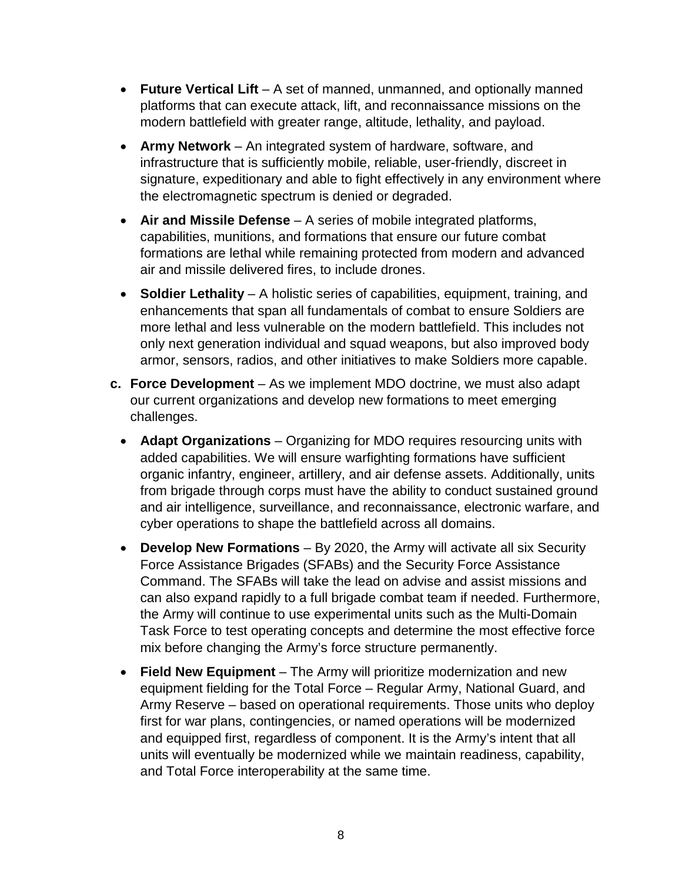- **Future Vertical Lift** A set of manned, unmanned, and optionally manned platforms that can execute attack, lift, and reconnaissance missions on the modern battlefield with greater range, altitude, lethality, and payload.
- **Army Network** An integrated system of hardware, software, and infrastructure that is sufficiently mobile, reliable, user-friendly, discreet in signature, expeditionary and able to fight effectively in any environment where the electromagnetic spectrum is denied or degraded.
- **Air and Missile Defense** A series of mobile integrated platforms, capabilities, munitions, and formations that ensure our future combat formations are lethal while remaining protected from modern and advanced air and missile delivered fires, to include drones.
- **Soldier Lethality** A holistic series of capabilities, equipment, training, and enhancements that span all fundamentals of combat to ensure Soldiers are more lethal and less vulnerable on the modern battlefield. This includes not only next generation individual and squad weapons, but also improved body armor, sensors, radios, and other initiatives to make Soldiers more capable.
- **c. Force Development**  As we implement MDO doctrine, we must also adapt our current organizations and develop new formations to meet emerging challenges.
	- **Adapt Organizations** Organizing for MDO requires resourcing units with added capabilities. We will ensure warfighting formations have sufficient organic infantry, engineer, artillery, and air defense assets. Additionally, units from brigade through corps must have the ability to conduct sustained ground and air intelligence, surveillance, and reconnaissance, electronic warfare, and cyber operations to shape the battlefield across all domains.
	- **Develop New Formations** By 2020, the Army will activate all six Security Force Assistance Brigades (SFABs) and the Security Force Assistance Command. The SFABs will take the lead on advise and assist missions and can also expand rapidly to a full brigade combat team if needed. Furthermore, the Army will continue to use experimental units such as the Multi-Domain Task Force to test operating concepts and determine the most effective force mix before changing the Army's force structure permanently.
	- **Field New Equipment** The Army will prioritize modernization and new equipment fielding for the Total Force – Regular Army, National Guard, and Army Reserve – based on operational requirements. Those units who deploy first for war plans, contingencies, or named operations will be modernized and equipped first, regardless of component. It is the Army's intent that all units will eventually be modernized while we maintain readiness, capability, and Total Force interoperability at the same time.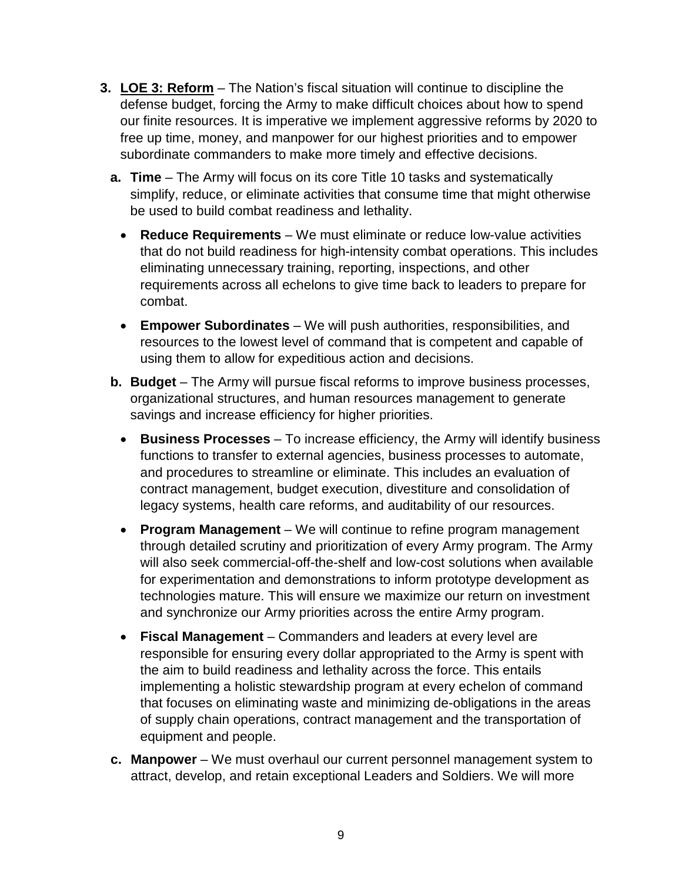- **3. LOE 3: Reform** The Nation's fiscal situation will continue to discipline the defense budget, forcing the Army to make difficult choices about how to spend our finite resources. It is imperative we implement aggressive reforms by 2020 to free up time, money, and manpower for our highest priorities and to empower subordinate commanders to make more timely and effective decisions.
	- **a. Time** The Army will focus on its core Title 10 tasks and systematically simplify, reduce, or eliminate activities that consume time that might otherwise be used to build combat readiness and lethality.
		- **Reduce Requirements** We must eliminate or reduce low-value activities that do not build readiness for high-intensity combat operations. This includes eliminating unnecessary training, reporting, inspections, and other requirements across all echelons to give time back to leaders to prepare for combat.
		- **Empower Subordinates** We will push authorities, responsibilities, and resources to the lowest level of command that is competent and capable of using them to allow for expeditious action and decisions.
	- **b.** Budget The Army will pursue fiscal reforms to improve business processes, organizational structures, and human resources management to generate savings and increase efficiency for higher priorities.
		- **Business Processes** To increase efficiency, the Army will identify business functions to transfer to external agencies, business processes to automate, and procedures to streamline or eliminate. This includes an evaluation of contract management, budget execution, divestiture and consolidation of legacy systems, health care reforms, and auditability of our resources.
		- **Program Management** We will continue to refine program management through detailed scrutiny and prioritization of every Army program. The Army will also seek commercial-off-the-shelf and low-cost solutions when available for experimentation and demonstrations to inform prototype development as technologies mature. This will ensure we maximize our return on investment and synchronize our Army priorities across the entire Army program.
		- **Fiscal Management** Commanders and leaders at every level are responsible for ensuring every dollar appropriated to the Army is spent with the aim to build readiness and lethality across the force. This entails implementing a holistic stewardship program at every echelon of command that focuses on eliminating waste and minimizing de-obligations in the areas of supply chain operations, contract management and the transportation of equipment and people.
	- **c. Manpower** We must overhaul our current personnel management system to attract, develop, and retain exceptional Leaders and Soldiers. We will more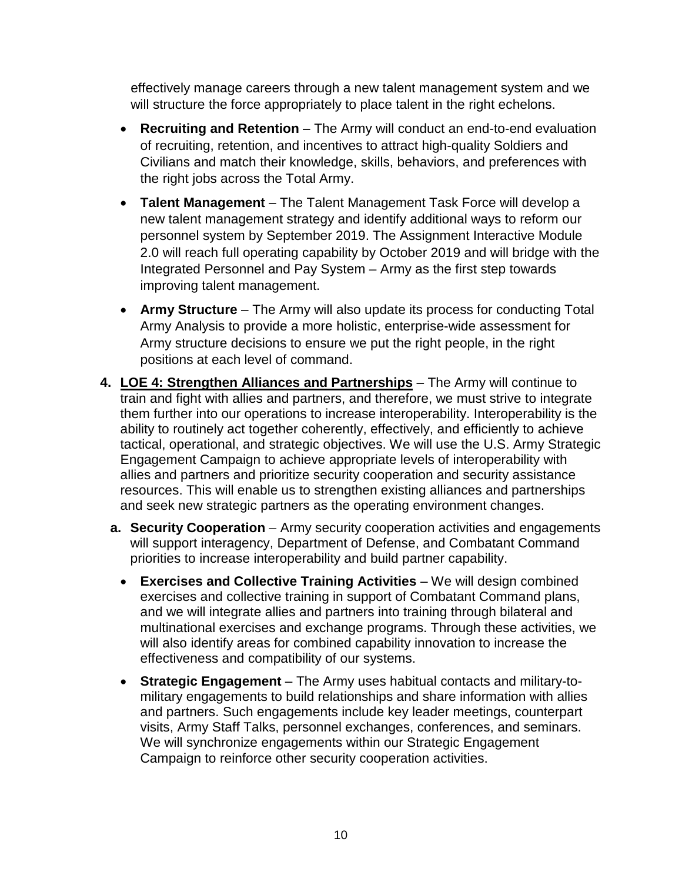effectively manage careers through a new talent management system and we will structure the force appropriately to place talent in the right echelons.

- **Recruiting and Retention** The Army will conduct an end-to-end evaluation of recruiting, retention, and incentives to attract high-quality Soldiers and Civilians and match their knowledge, skills, behaviors, and preferences with the right jobs across the Total Army.
- **Talent Management** The Talent Management Task Force will develop a new talent management strategy and identify additional ways to reform our personnel system by September 2019. The Assignment Interactive Module 2.0 will reach full operating capability by October 2019 and will bridge with the Integrated Personnel and Pay System – Army as the first step towards improving talent management.
- **Army Structure** The Army will also update its process for conducting Total Army Analysis to provide a more holistic, enterprise-wide assessment for Army structure decisions to ensure we put the right people, in the right positions at each level of command.
- **4. LOE 4: Strengthen Alliances and Partnerships** The Army will continue to train and fight with allies and partners, and therefore, we must strive to integrate them further into our operations to increase interoperability. Interoperability is the ability to routinely act together coherently, effectively, and efficiently to achieve tactical, operational, and strategic objectives. We will use the U.S. Army Strategic Engagement Campaign to achieve appropriate levels of interoperability with allies and partners and prioritize security cooperation and security assistance resources. This will enable us to strengthen existing alliances and partnerships and seek new strategic partners as the operating environment changes.
	- **a. Security Cooperation** Army security cooperation activities and engagements will support interagency, Department of Defense, and Combatant Command priorities to increase interoperability and build partner capability.
		- **Exercises and Collective Training Activities** We will design combined exercises and collective training in support of Combatant Command plans, and we will integrate allies and partners into training through bilateral and multinational exercises and exchange programs. Through these activities, we will also identify areas for combined capability innovation to increase the effectiveness and compatibility of our systems.
		- **Strategic Engagement** The Army uses habitual contacts and military-tomilitary engagements to build relationships and share information with allies and partners. Such engagements include key leader meetings, counterpart visits, Army Staff Talks, personnel exchanges, conferences, and seminars. We will synchronize engagements within our Strategic Engagement Campaign to reinforce other security cooperation activities.